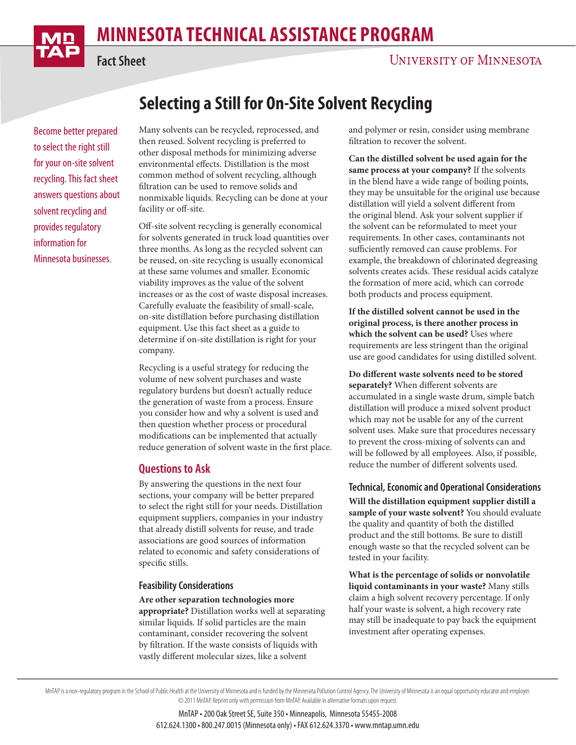# **MINNESOTA TECHNICAL ASSISTANCE PROGRAM**

**Selecting a Still for On-Site Solvent Recycling**



**Fact Sheet**

# **UNIVERSITY OF MINNESOTA**

Become better prepared to select the right still for your on-site solvent recycling. This fact sheet answers questions about solvent recycling and provides regulatory information for Minnesota businesses.

Many solvents can be recycled, reprocessed, and then reused. Solvent recycling is preferred to other disposal methods for minimizing adverse environmental effects. Distillation is the most common method of solvent recycling, although filtration can be used to remove solids and nonmixable liquids. Recycling can be done at your facility or off-site.

Off-site solvent recycling is generally economical for solvents generated in truck load quantities over three months. As long as the recycled solvent can be reused, on-site recycling is usually economical at these same volumes and smaller. Economic viability improves as the value of the solvent increases or as the cost of waste disposal increases. Carefully evaluate the feasibility of small-scale, on-site distillation before purchasing distillation equipment. Use this fact sheet as a guide to determine if on-site distillation is right for your company.

Recycling is a useful strategy for reducing the volume of new solvent purchases and waste regulatory burdens but doesn't actually reduce the generation of waste from a process. Ensure you consider how and why a solvent is used and then question whether process or procedural modifications can be implemented that actually reduce generation of solvent waste in the first place.

#### **Questions to Ask**

By answering the questions in the next four sections, your company will be better prepared to select the right still for your needs. Distillation equipment suppliers, companies in your industry that already distill solvents for reuse, and trade associations are good sources of information related to economic and safety considerations of specific stills.

#### **Feasibility Considerations**

**Are other separation technologies more** 

**appropriate?** Distillation works well at separating similar liquids. If solid particles are the main contaminant, consider recovering the solvent by filtration. If the waste consists of liquids with vastly different molecular sizes, like a solvent

and polymer or resin, consider using membrane filtration to recover the solvent.

**Can the distilled solvent be used again for the same process at your company?** If the solvents in the blend have a wide range of boiling points, they may be unsuitable for the original use because distillation will yield a solvent different from the original blend. Ask your solvent supplier if the solvent can be reformulated to meet your requirements. In other cases, contaminants not sufficiently removed can cause problems. For example, the breakdown of chlorinated degreasing solvents creates acids. These residual acids catalyze the formation of more acid, which can corrode both products and process equipment.

**If the distilled solvent cannot be used in the original process, is there another process in which the solvent can be used?** Uses where requirements are less stringent than the original use are good candidates for using distilled solvent.

**Do different waste solvents need to be stored separately?** When different solvents are accumulated in a single waste drum, simple batch distillation will produce a mixed solvent product which may not be usable for any of the current solvent uses. Make sure that procedures necessary to prevent the cross-mixing of solvents can and will be followed by all employees. Also, if possible, reduce the number of different solvents used.

**Technical, Economic and Operational Considerations Will the distillation equipment supplier distill a sample of your waste solvent?** You should evaluate the quality and quantity of both the distilled product and the still bottoms. Be sure to distill enough waste so that the recycled solvent can be tested in your facility.

**What is the percentage of solids or nonvolatile liquid contaminants in your waste?** Many stills claim a high solvent recovery percentage. If only half your waste is solvent, a high recovery rate may still be inadequate to pay back the equipment investment after operating expenses.

MnTAP is a non-regulatory program in the School of Public Health at the University of Minnesota and is funded by the Minnesota Pollution Control Agency. The University of Minnesota is an equal opportunity educator and empl © 2011 MnTAP. Reprint only with permission from MnTAP. Available in alternative formats upon request.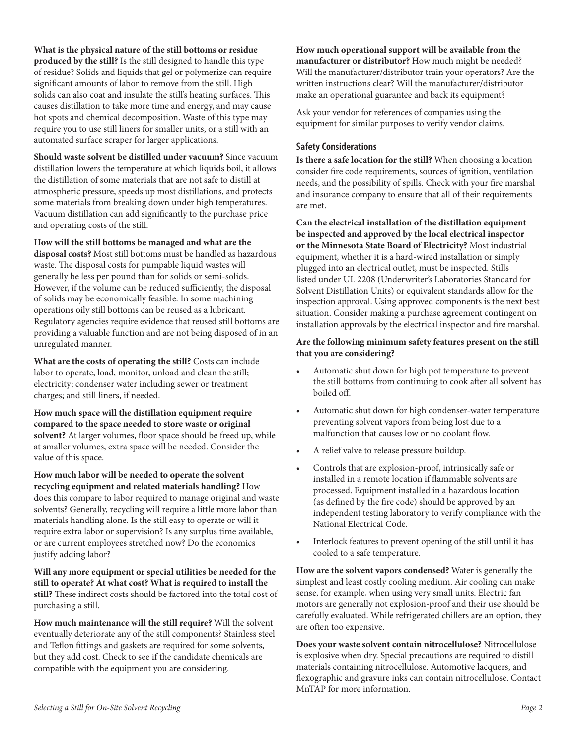**What is the physical nature of the still bottoms or residue produced by the still?** Is the still designed to handle this type of residue? Solids and liquids that gel or polymerize can require significant amounts of labor to remove from the still. High solids can also coat and insulate the still's heating surfaces. This causes distillation to take more time and energy, and may cause hot spots and chemical decomposition. Waste of this type may require you to use still liners for smaller units, or a still with an automated surface scraper for larger applications.

**Should waste solvent be distilled under vacuum?** Since vacuum distillation lowers the temperature at which liquids boil, it allows the distillation of some materials that are not safe to distill at atmospheric pressure, speeds up most distillations, and protects some materials from breaking down under high temperatures. Vacuum distillation can add significantly to the purchase price and operating costs of the still.

**How will the still bottoms be managed and what are the disposal costs?** Most still bottoms must be handled as hazardous waste. The disposal costs for pumpable liquid wastes will generally be less per pound than for solids or semi-solids. However, if the volume can be reduced sufficiently, the disposal of solids may be economically feasible. In some machining operations oily still bottoms can be reused as a lubricant. Regulatory agencies require evidence that reused still bottoms are providing a valuable function and are not being disposed of in an unregulated manner.

**What are the costs of operating the still?** Costs can include labor to operate, load, monitor, unload and clean the still; electricity; condenser water including sewer or treatment charges; and still liners, if needed.

**How much space will the distillation equipment require compared to the space needed to store waste or original solvent?** At larger volumes, floor space should be freed up, while at smaller volumes, extra space will be needed. Consider the value of this space.

**How much labor will be needed to operate the solvent recycling equipment and related materials handling?** How does this compare to labor required to manage original and waste solvents? Generally, recycling will require a little more labor than materials handling alone. Is the still easy to operate or will it require extra labor or supervision? Is any surplus time available, or are current employees stretched now? Do the economics justify adding labor?

**Will any more equipment or special utilities be needed for the still to operate? At what cost? What is required to install the still?** These indirect costs should be factored into the total cost of purchasing a still.

**How much maintenance will the still require?** Will the solvent eventually deteriorate any of the still components? Stainless steel and Teflon fittings and gaskets are required for some solvents, but they add cost. Check to see if the candidate chemicals are compatible with the equipment you are considering.

**How much operational support will be available from the manufacturer or distributor?** How much might be needed? Will the manufacturer/distributor train your operators? Are the written instructions clear? Will the manufacturer/distributor make an operational guarantee and back its equipment?

Ask your vendor for references of companies using the equipment for similar purposes to verify vendor claims.

### **Safety Considerations**

**Is there a safe location for the still?** When choosing a location consider fire code requirements, sources of ignition, ventilation needs, and the possibility of spills. Check with your fire marshal and insurance company to ensure that all of their requirements are met.

**Can the electrical installation of the distillation equipment be inspected and approved by the local electrical inspector or the Minnesota State Board of Electricity?** Most industrial equipment, whether it is a hard-wired installation or simply plugged into an electrical outlet, must be inspected. Stills listed under UL 2208 (Underwriter's Laboratories Standard for Solvent Distillation Units) or equivalent standards allow for the inspection approval. Using approved components is the next best situation. Consider making a purchase agreement contingent on installation approvals by the electrical inspector and fire marshal.

#### **Are the following minimum safety features present on the still that you are considering?**

- Automatic shut down for high pot temperature to prevent the still bottoms from continuing to cook after all solvent has boiled off.
- Automatic shut down for high condenser-water temperature preventing solvent vapors from being lost due to a malfunction that causes low or no coolant flow.
- A relief valve to release pressure buildup.
- Controls that are explosion-proof, intrinsically safe or installed in a remote location if flammable solvents are processed. Equipment installed in a hazardous location (as defined by the fire code) should be approved by an independent testing laboratory to verify compliance with the National Electrical Code.
- Interlock features to prevent opening of the still until it has cooled to a safe temperature.

**How are the solvent vapors condensed?** Water is generally the simplest and least costly cooling medium. Air cooling can make sense, for example, when using very small units. Electric fan motors are generally not explosion-proof and their use should be carefully evaluated. While refrigerated chillers are an option, they are often too expensive.

**Does your waste solvent contain nitrocellulose?** Nitrocellulose is explosive when dry. Special precautions are required to distill materials containing nitrocellulose. Automotive lacquers, and flexographic and gravure inks can contain nitrocellulose. Contact MnTAP for more information.